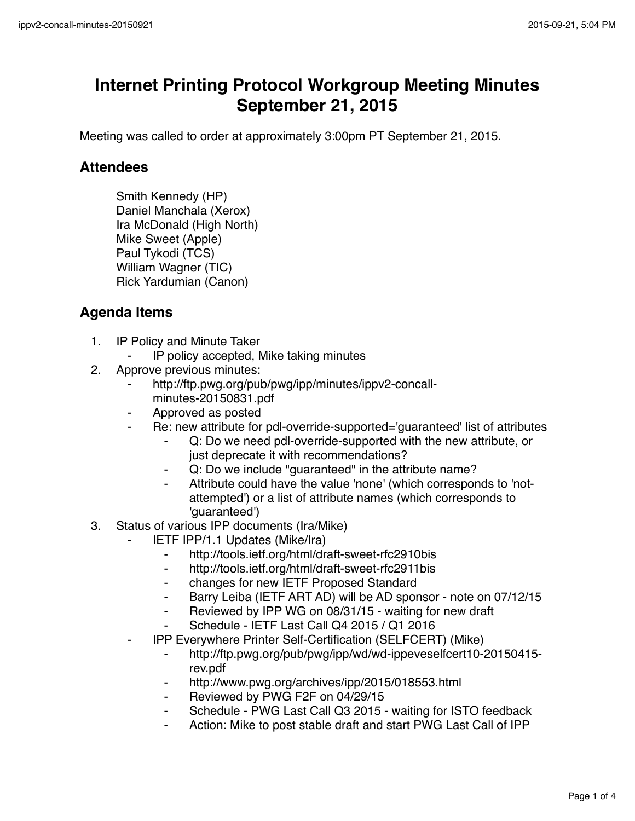## **Internet Printing Protocol Workgroup Meeting Minutes September 21, 2015**

Meeting was called to order at approximately 3:00pm PT September 21, 2015.

## **Attendees**

Smith Kennedy (HP) Daniel Manchala (Xerox) Ira McDonald (High North) Mike Sweet (Apple) Paul Tykodi (TCS) William Wagner (TIC) Rick Yardumian (Canon)

## **Agenda Items**

- 1. IP Policy and Minute Taker
	- ⁃ IP policy accepted, Mike taking minutes
- 2. Approve previous minutes:
	- http://ftp.pwg.org/pub/pwg/ipp/minutes/ippv2-concallminutes-20150831.pdf
	- ⁃ Approved as posted
	- ⁃ Re: new attribute for pdl-override-supported='guaranteed' list of attributes
		- ⁃ Q: Do we need pdl-override-supported with the new attribute, or just deprecate it with recommendations?
		- Q: Do we include "quaranteed" in the attribute name?
		- Attribute could have the value 'none' (which corresponds to 'notattempted') or a list of attribute names (which corresponds to 'guaranteed')
- 3. Status of various IPP documents (Ira/Mike)
	- **IETF IPP/1.1 Updates (Mike/Ira)** 
		- ⁃ http://tools.ietf.org/html/draft-sweet-rfc2910bis
		- ⁃ http://tools.ietf.org/html/draft-sweet-rfc2911bis
		- ⁃ changes for new IETF Proposed Standard
		- ⁃ Barry Leiba (IETF ART AD) will be AD sponsor note on 07/12/15
		- ⁃ Reviewed by IPP WG on 08/31/15 waiting for new draft
		- ⁃ Schedule IETF Last Call Q4 2015 / Q1 2016
	- ⁃ IPP Everywhere Printer Self-Certification (SELFCERT) (Mike)
		- ⁃ http://ftp.pwg.org/pub/pwg/ipp/wd/wd-ippeveselfcert10-20150415 rev.pdf
		- http://www.pwg.org/archives/ipp/2015/018553.html
		- ⁃ Reviewed by PWG F2F on 04/29/15
		- Schedule PWG Last Call Q3 2015 waiting for ISTO feedback
		- Action: Mike to post stable draft and start PWG Last Call of IPP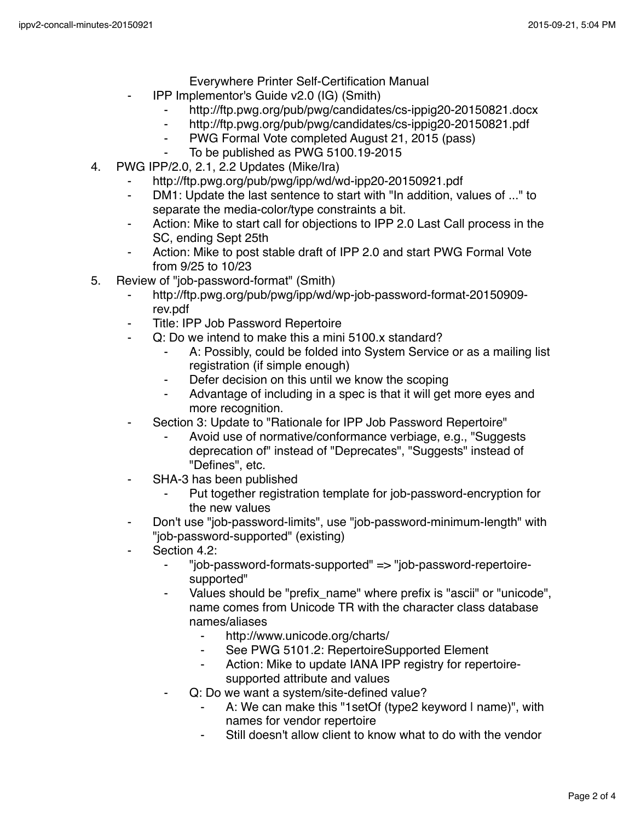- Everywhere Printer Self-Certification Manual
- ⁃ IPP Implementor's Guide v2.0 (IG) (Smith)
	- http://ftp.pwg.org/pub/pwg/candidates/cs-ippig20-20150821.docx
	- ⁃ http://ftp.pwg.org/pub/pwg/candidates/cs-ippig20-20150821.pdf
	- ⁃ PWG Formal Vote completed August 21, 2015 (pass)
	- To be published as PWG 5100.19-2015
- 4. PWG IPP/2.0, 2.1, 2.2 Updates (Mike/Ira)
	- ⁃ http://ftp.pwg.org/pub/pwg/ipp/wd/wd-ipp20-20150921.pdf
	- ⁃ DM1: Update the last sentence to start with "In addition, values of ..." to separate the media-color/type constraints a bit.
	- Action: Mike to start call for objections to IPP 2.0 Last Call process in the SC, ending Sept 25th
	- Action: Mike to post stable draft of IPP 2.0 and start PWG Formal Vote from 9/25 to 10/23
- 5. Review of "job-password-format" (Smith)
	- ⁃ http://ftp.pwg.org/pub/pwg/ipp/wd/wp-job-password-format-20150909 rev.pdf
	- Title: IPP Job Password Repertoire
	- Q: Do we intend to make this a mini 5100.x standard?
		- A: Possibly, could be folded into System Service or as a mailing list registration (if simple enough)
		- ⁃ Defer decision on this until we know the scoping
		- Advantage of including in a spec is that it will get more eyes and more recognition.
	- ⁃ Section 3: Update to "Rationale for IPP Job Password Repertoire"
		- Avoid use of normative/conformance verbiage, e.g., "Suggests deprecation of" instead of "Deprecates", "Suggests" instead of "Defines", etc.
	- ⁃ SHA-3 has been published
		- Put together registration template for job-password-encryption for the new values
	- Don't use "job-password-limits", use "job-password-minimum-length" with "job-password-supported" (existing)
	- Section 4.2:
		- ⁃ "job-password-formats-supported" => "job-password-repertoiresupported"
		- ⁃ Values should be "prefix\_name" where prefix is "ascii" or "unicode", name comes from Unicode TR with the character class database names/aliases
			- http://www.unicode.org/charts/
			- ⁃ See PWG 5101.2: RepertoireSupported Element
			- ⁃ Action: Mike to update IANA IPP registry for repertoiresupported attribute and values
		- Q: Do we want a system/site-defined value?
			- A: We can make this "1setOf (type2 keyword I name)", with names for vendor repertoire
			- Still doesn't allow client to know what to do with the vendor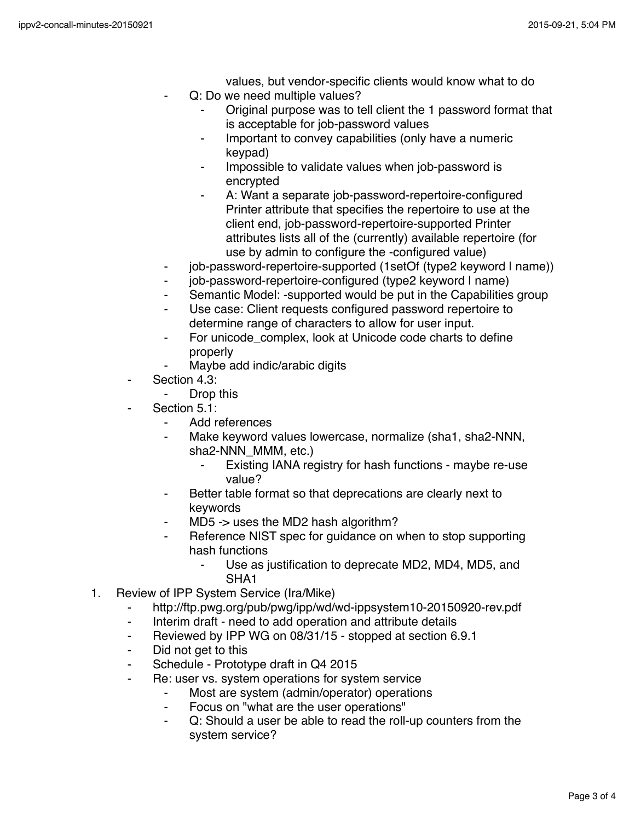values, but vendor-specific clients would know what to do

- Q: Do we need multiple values?
	- Original purpose was to tell client the 1 password format that is acceptable for job-password values
	- ⁃ Important to convey capabilities (only have a numeric keypad)
	- Impossible to validate values when job-password is encrypted
	- A: Want a separate job-password-repertoire-configured Printer attribute that specifies the repertoire to use at the client end, job-password-repertoire-supported Printer attributes lists all of the (currently) available repertoire (for use by admin to configure the -configured value)
- job-password-repertoire-supported (1setOf (type2 keyword I name))
- ⁃ job-password-repertoire-configured (type2 keyword | name)
- Semantic Model: -supported would be put in the Capabilities group
- Use case: Client requests configured password repertoire to determine range of characters to allow for user input.
- For unicode complex, look at Unicode code charts to define properly
- Maybe add indic/arabic digits
- Section 4.3:
	- Drop this
- Section 5.1:
	- Add references
	- Make keyword values lowercase, normalize (sha1, sha2-NNN, sha2-NNN\_MMM, etc.)
		- Existing IANA registry for hash functions maybe re-use value?
	- Better table format so that deprecations are clearly next to keywords
	- ⁃ MD5 -> uses the MD2 hash algorithm?
	- Reference NIST spec for guidance on when to stop supporting hash functions
		- Use as justification to deprecate MD2, MD4, MD5, and SHA1
- 1. Review of IPP System Service (Ira/Mike)
	- ⁃ http://ftp.pwg.org/pub/pwg/ipp/wd/wd-ippsystem10-20150920-rev.pdf
	- ⁃ Interim draft need to add operation and attribute details
	- ⁃ Reviewed by IPP WG on 08/31/15 stopped at section 6.9.1
	- ⁃ Did not get to this
	- ⁃ Schedule Prototype draft in Q4 2015
		- Re: user vs. system operations for system service
			- ⁃ Most are system (admin/operator) operations
			- ⁃ Focus on "what are the user operations"
			- Q: Should a user be able to read the roll-up counters from the system service?